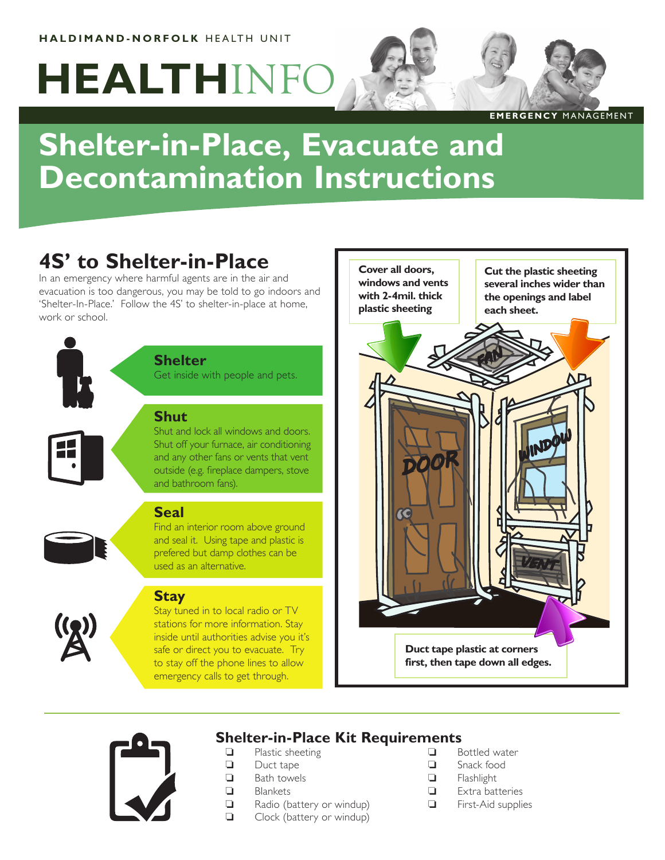#### **HALDIMAND-NORFOLK** HEALTH UNIT

# **HEALTHINFO**

#### **EMERGENCY** MANAGEMENT

## **Shelter-in-Place, Evacuate and Decontamination Instructions**

## **4S' to Shelter-in-Place**

In an emergency where harmful agents are in the air and evacuation is too dangerous, you may be told to go indoors and 'Shelter-In-Place.' Follow the 4S' to shelter-in-place at home, work or school.



**Shelter**

Get inside with people and pets.

#### **Shut**

Shut and lock all windows and doors. Shut off your furnace, air conditioning and any other fans or vents that vent outside (e.g. fireplace dampers, stove and bathroom fans).



#### **Seal**

Find an interior room above ground and seal it. Using tape and plastic is prefered but damp clothes can be used as an alternative.



#### **Stay**

Stay tuned in to local radio or TV stations for more information. Stay inside until authorities advise you it's safe or direct you to evacuate. Try to stay off the phone lines to allow emergency calls to get through.

**Duct tape plastic at corners first, then tape down all edges. Cover all doors, windows and vents with 2-4mil. thick plastic sheeting Cut the plastic sheeting several inches wider than the openings and label each sheet.**



## **Shelter-in-Place Kit Requirements**

- Plastic sheeting
- $\Box$  Duct tape
- $\Box$  Bath towels
- $\Box$  Blankets
- $\Box$  Radio (battery or windup)
- $\Box$  Clock (battery or windup)
- **Bottled water**
- **B** Snack food
- **R** Flashlight
- $\Box$  Extra batteries
- **Example First-Aid supplies**